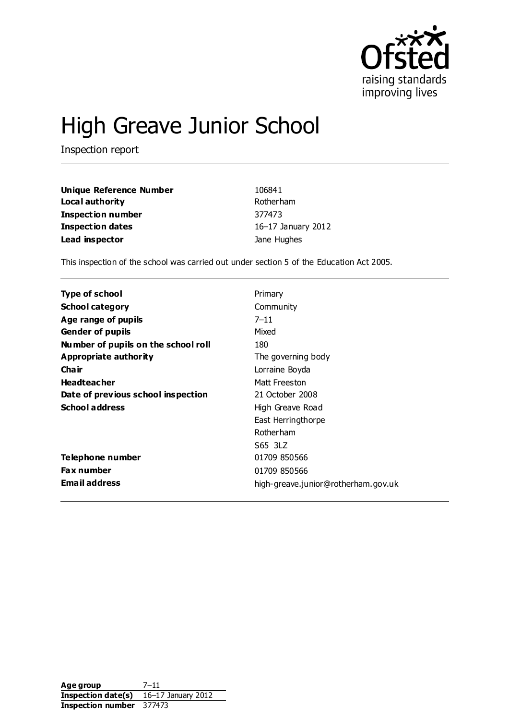

# High Greave Junior School

Inspection report

| Unique Reference Number | 106841             |
|-------------------------|--------------------|
| Local authority         | Rotherham          |
| Inspection number       | 377473             |
| Inspection dates        | 16-17 January 2012 |
| Lead inspector          | Jane Hughes        |

This inspection of the school was carried out under section 5 of the Education Act 2005.

| Type of school                      | Primary                             |
|-------------------------------------|-------------------------------------|
| <b>School category</b>              | Community                           |
| Age range of pupils                 | $7 - 11$                            |
| <b>Gender of pupils</b>             | Mixed                               |
| Number of pupils on the school roll | 180                                 |
| Appropriate authority               | The governing body                  |
| Cha ir                              | Lorraine Boyda                      |
| <b>Headteacher</b>                  | Matt Freeston                       |
| Date of previous school inspection  | 21 October 2008                     |
| <b>School address</b>               | High Greave Road                    |
|                                     | East Herringthorpe                  |
|                                     | <b>Rotherham</b>                    |
|                                     | S65 3LZ                             |
| Telephone number                    | 01709 850566                        |
| <b>Fax number</b>                   | 01709 850566                        |
| <b>Email address</b>                | high-greave.junior@rotherham.gov.uk |

**Age group** 7–11 **Inspection date(s)** 16–17 January 2012 **Inspection number** 377473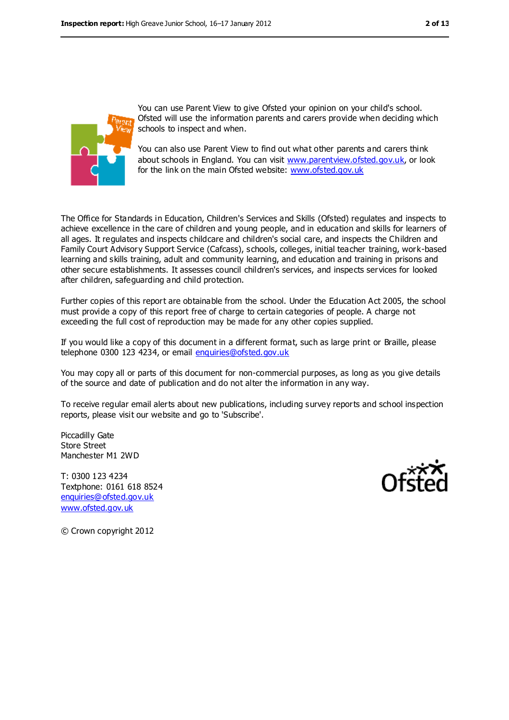

You can use Parent View to give Ofsted your opinion on your child's school. Ofsted will use the information parents and carers provide when deciding which schools to inspect and when.

You can also use Parent View to find out what other parents and carers think about schools in England. You can visit [www.parentview.ofsted.gov.uk,](www.parentview.ofsted.gov.uk) or look for the link on the main Ofsted website:<www.ofsted.gov.uk>

The Office for Standards in Education, Children's Services and Skills (Ofsted) regulates and inspects to achieve excellence in the care of children and young people, and in education and skills for learners of all ages. It regulates and inspects childcare and children's social care, and inspects the Children and Family Court Advisory Support Service (Cafcass), schools, colleges, initial teacher training, work-based learning and skills training, adult and community learning, and education and training in prisons and other secure establishments. It assesses council children's services, and inspects services for looked after children, safeguarding and child protection.

Further copies of this report are obtainable from the school. Under the Education Act 2005, the school must provide a copy of this report free of charge to certain categories of people. A charge not exceeding the full cost of reproduction may be made for any other copies supplied.

If you would like a copy of this document in a different format, such as large print or Braille, please telephone 0300 123 4234, or email [enquiries@ofsted.gov.uk](mailto:enquiries@ofsted.gov.uk)

You may copy all or parts of this document for non-commercial purposes, as long as you give details of the source and date of publication and do not alter the information in any way.

To receive regular email alerts about new publications, including survey reports and school inspection reports, please visit our website and go to 'Subscribe'.

Piccadilly Gate Store Street Manchester M1 2WD

T: 0300 123 4234 Textphone: 0161 618 8524 [enquiries@ofsted.gov.uk](mailto:enquiries@ofsted.gov.uk) [www.ofsted.gov.uk](http://www.ofsted.gov.uk/)



© Crown copyright 2012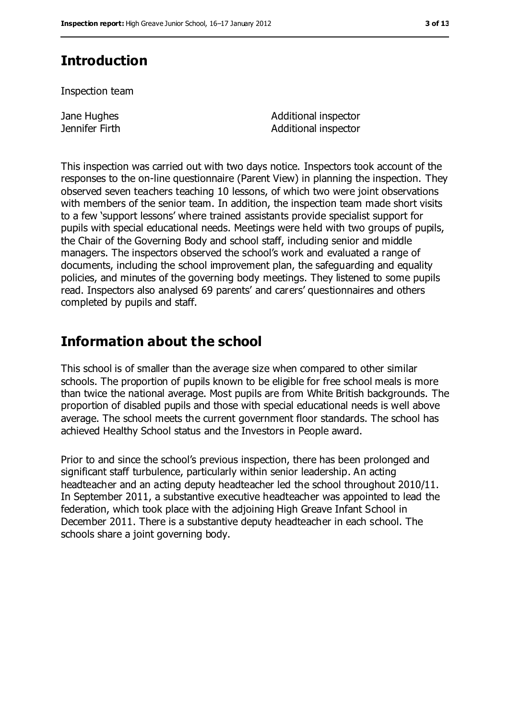### **Introduction**

Inspection team

Jane Hughes Jennifer Firth Additional inspector Additional inspector

This inspection was carried out with two days notice. Inspectors took account of the responses to the on-line questionnaire (Parent View) in planning the inspection. They observed seven teachers teaching 10 lessons, of which two were joint observations with members of the senior team. In addition, the inspection team made short visits to a few 'support lessons' where trained assistants provide specialist support for pupils with special educational needs. Meetings were held with two groups of pupils, the Chair of the Governing Body and school staff, including senior and middle managers. The inspectors observed the school's work and evaluated a range of documents, including the school improvement plan, the safeguarding and equality policies, and minutes of the governing body meetings. They listened to some pupils read. Inspectors also analysed 69 parents' and carers' questionnaires and others completed by pupils and staff.

### **Information about the school**

This school is of smaller than the average size when compared to other similar schools. The proportion of pupils known to be eligible for free school meals is more than twice the national average. Most pupils are from White British backgrounds. The proportion of disabled pupils and those with special educational needs is well above average. The school meets the current government floor standards. The school has achieved Healthy School status and the Investors in People award.

Prior to and since the school's previous inspection, there has been prolonged and significant staff turbulence, particularly within senior leadership. An acting headteacher and an acting deputy headteacher led the school throughout 2010/11. In September 2011, a substantive executive headteacher was appointed to lead the federation, which took place with the adjoining High Greave Infant School in December 2011. There is a substantive deputy headteacher in each school. The schools share a joint governing body.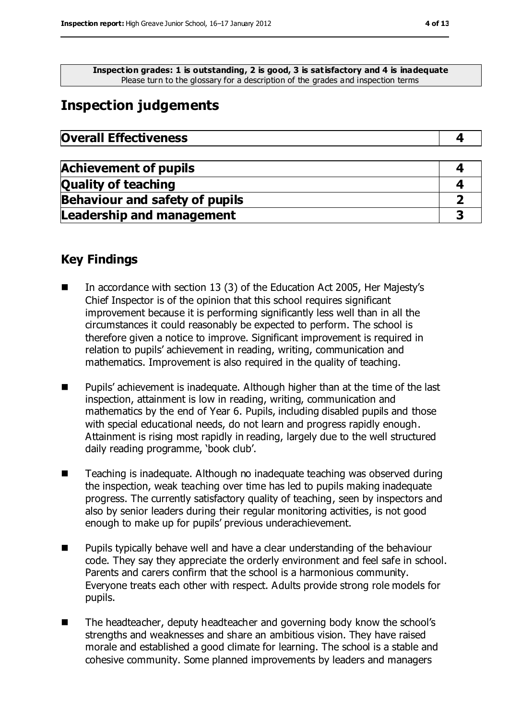**Inspection grades: 1 is outstanding, 2 is good, 3 is satisfactory and 4 is inadequate** Please turn to the glossary for a description of the grades and inspection terms

### **Inspection judgements**

| <b>Overall Effectiveness</b> |  |
|------------------------------|--|
|------------------------------|--|

| <b>Achievement of pupils</b>          |  |
|---------------------------------------|--|
| <b>Quality of teaching</b>            |  |
| <b>Behaviour and safety of pupils</b> |  |
| <b>Leadership and management</b>      |  |

### **Key Findings**

- In accordance with section 13 (3) of the Education Act 2005, Her Majesty's Chief Inspector is of the opinion that this school requires significant improvement because it is performing significantly less well than in all the circumstances it could reasonably be expected to perform. The school is therefore given a notice to improve. Significant improvement is required in relation to pupils' achievement in reading, writing, communication and mathematics. Improvement is also required in the quality of teaching.
- Pupils' achievement is inadequate. Although higher than at the time of the last inspection, attainment is low in reading, writing, communication and mathematics by the end of Year 6. Pupils, including disabled pupils and those with special educational needs, do not learn and progress rapidly enough. Attainment is rising most rapidly in reading, largely due to the well structured daily reading programme, 'book club'.
- Teaching is inadequate. Although no inadequate teaching was observed during the inspection, weak teaching over time has led to pupils making inadequate progress. The currently satisfactory quality of teaching, seen by inspectors and also by senior leaders during their regular monitoring activities, is not good enough to make up for pupils' previous underachievement.
- **Pupils typically behave well and have a clear understanding of the behaviour** code. They say they appreciate the orderly environment and feel safe in school. Parents and carers confirm that the school is a harmonious community. Everyone treats each other with respect. Adults provide strong role models for pupils.
- The headteacher, deputy headteacher and governing body know the school's strengths and weaknesses and share an ambitious vision. They have raised morale and established a good climate for learning. The school is a stable and cohesive community. Some planned improvements by leaders and managers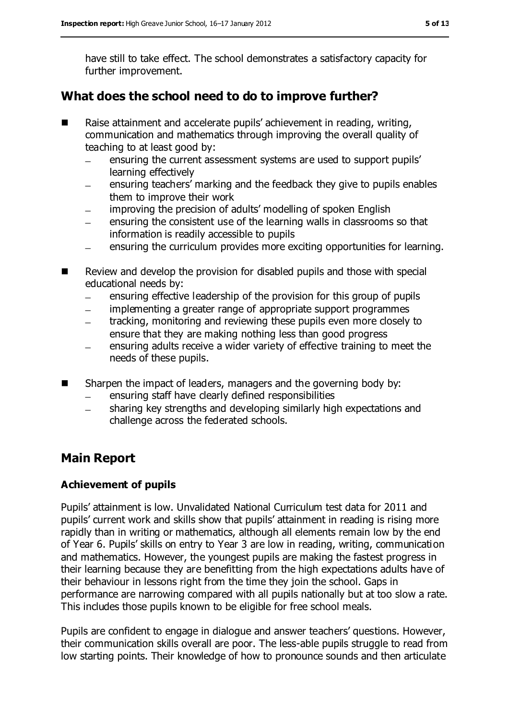have still to take effect. The school demonstrates a satisfactory capacity for further improvement.

### **What does the school need to do to improve further?**

- Raise attainment and accelerate pupils' achievement in reading, writing, communication and mathematics through improving the overall quality of teaching to at least good by:
	- ensuring the current assessment systems are used to support pupils'  $\equiv$ learning effectively
	- ensuring teachers' marking and the feedback they give to pupils enables them to improve their work
	- improving the precision of adults' modelling of spoken English
	- ensuring the consistent use of the learning walls in classrooms so that information is readily accessible to pupils
	- ensuring the curriculum provides more exciting opportunities for learning.
- Review and develop the provision for disabled pupils and those with special educational needs by:
	- ensuring effective leadership of the provision for this group of pupils
	- implementing a greater range of appropriate support programmes
	- tracking, monitoring and reviewing these pupils even more closely to ensure that they are making nothing less than good progress
	- ensuring adults receive a wider variety of effective training to meet the  $\qquad \qquad$ needs of these pupils.
- Sharpen the impact of leaders, managers and the governing body by:
	- ensuring staff have clearly defined responsibilities  $\equiv$
	- sharing key strengths and developing similarly high expectations and  $\frac{1}{2}$ challenge across the federated schools.

### **Main Report**

#### **Achievement of pupils**

Pupils' attainment is low. Unvalidated National Curriculum test data for 2011 and pupils' current work and skills show that pupils' attainment in reading is rising more rapidly than in writing or mathematics, although all elements remain low by the end of Year 6. Pupils' skills on entry to Year 3 are low in reading, writing, communication and mathematics. However, the youngest pupils are making the fastest progress in their learning because they are benefitting from the high expectations adults have of their behaviour in lessons right from the time they join the school. Gaps in performance are narrowing compared with all pupils nationally but at too slow a rate. This includes those pupils known to be eligible for free school meals.

Pupils are confident to engage in dialogue and answer teachers' questions. However, their communication skills overall are poor. The less-able pupils struggle to read from low starting points. Their knowledge of how to pronounce sounds and then articulate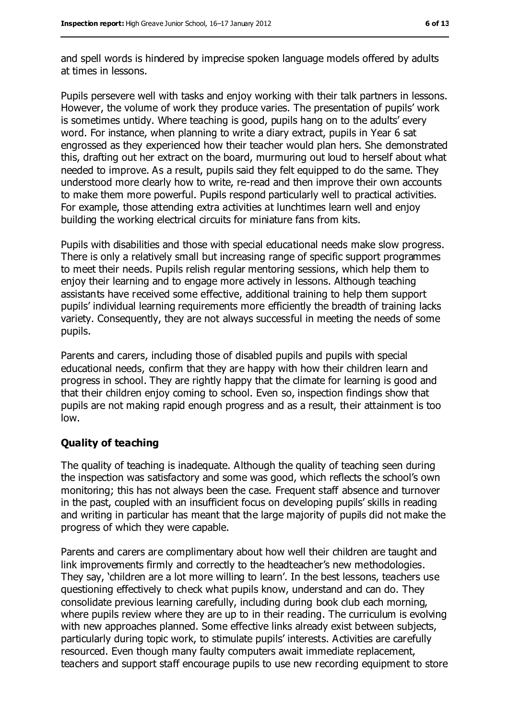and spell words is hindered by imprecise spoken language models offered by adults at times in lessons.

Pupils persevere well with tasks and enjoy working with their talk partners in lessons. However, the volume of work they produce varies. The presentation of pupils' work is sometimes untidy. Where teaching is good, pupils hang on to the adults' every word. For instance, when planning to write a diary extract, pupils in Year 6 sat engrossed as they experienced how their teacher would plan hers. She demonstrated this, drafting out her extract on the board, murmuring out loud to herself about what needed to improve. As a result, pupils said they felt equipped to do the same. They understood more clearly how to write, re-read and then improve their own accounts to make them more powerful. Pupils respond particularly well to practical activities. For example, those attending extra activities at lunchtimes learn well and enjoy building the working electrical circuits for miniature fans from kits.

Pupils with disabilities and those with special educational needs make slow progress. There is only a relatively small but increasing range of specific support programmes to meet their needs. Pupils relish regular mentoring sessions, which help them to enjoy their learning and to engage more actively in lessons. Although teaching assistants have received some effective, additional training to help them support pupils' individual learning requirements more efficiently the breadth of training lacks variety. Consequently, they are not always successful in meeting the needs of some pupils.

Parents and carers, including those of disabled pupils and pupils with special educational needs, confirm that they are happy with how their children learn and progress in school. They are rightly happy that the climate for learning is good and that their children enjoy coming to school. Even so, inspection findings show that pupils are not making rapid enough progress and as a result, their attainment is too low.

#### **Quality of teaching**

The quality of teaching is inadequate. Although the quality of teaching seen during the inspection was satisfactory and some was good, which reflects the school's own monitoring; this has not always been the case. Frequent staff absence and turnover in the past, coupled with an insufficient focus on developing pupils' skills in reading and writing in particular has meant that the large majority of pupils did not make the progress of which they were capable.

Parents and carers are complimentary about how well their children are taught and link improvements firmly and correctly to the headteacher's new methodologies. They say, 'children are a lot more willing to learn'. In the best lessons, teachers use questioning effectively to check what pupils know, understand and can do. They consolidate previous learning carefully, including during book club each morning, where pupils review where they are up to in their reading. The curriculum is evolving with new approaches planned. Some effective links already exist between subjects, particularly during topic work, to stimulate pupils' interests. Activities are carefully resourced. Even though many faulty computers await immediate replacement, teachers and support staff encourage pupils to use new recording equipment to store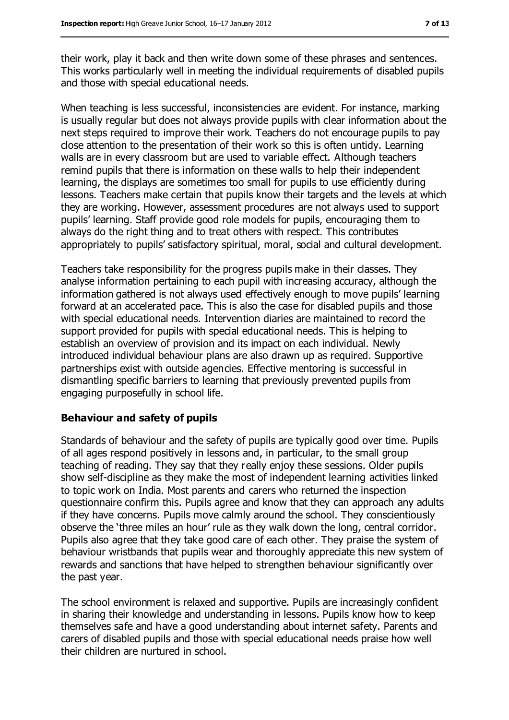their work, play it back and then write down some of these phrases and sentences. This works particularly well in meeting the individual requirements of disabled pupils and those with special educational needs.

When teaching is less successful, inconsistencies are evident. For instance, marking is usually regular but does not always provide pupils with clear information about the next steps required to improve their work. Teachers do not encourage pupils to pay close attention to the presentation of their work so this is often untidy. Learning walls are in every classroom but are used to variable effect. Although teachers remind pupils that there is information on these walls to help their independent learning, the displays are sometimes too small for pupils to use efficiently during lessons. Teachers make certain that pupils know their targets and the levels at which they are working. However, assessment procedures are not always used to support pupils' learning. Staff provide good role models for pupils, encouraging them to always do the right thing and to treat others with respect. This contributes appropriately to pupils' satisfactory spiritual, moral, social and cultural development.

Teachers take responsibility for the progress pupils make in their classes. They analyse information pertaining to each pupil with increasing accuracy, although the information gathered is not always used effectively enough to move pupils' learning forward at an accelerated pace. This is also the case for disabled pupils and those with special educational needs. Intervention diaries are maintained to record the support provided for pupils with special educational needs. This is helping to establish an overview of provision and its impact on each individual. Newly introduced individual behaviour plans are also drawn up as required. Supportive partnerships exist with outside agencies. Effective mentoring is successful in dismantling specific barriers to learning that previously prevented pupils from engaging purposefully in school life.

#### **Behaviour and safety of pupils**

Standards of behaviour and the safety of pupils are typically good over time. Pupils of all ages respond positively in lessons and, in particular, to the small group teaching of reading. They say that they really enjoy these sessions. Older pupils show self-discipline as they make the most of independent learning activities linked to topic work on India. Most parents and carers who returned the inspection questionnaire confirm this. Pupils agree and know that they can approach any adults if they have concerns. Pupils move calmly around the school. They conscientiously observe the 'three miles an hour' rule as they walk down the long, central corridor. Pupils also agree that they take good care of each other. They praise the system of behaviour wristbands that pupils wear and thoroughly appreciate this new system of rewards and sanctions that have helped to strengthen behaviour significantly over the past year.

The school environment is relaxed and supportive. Pupils are increasingly confident in sharing their knowledge and understanding in lessons. Pupils know how to keep themselves safe and have a good understanding about internet safety. Parents and carers of disabled pupils and those with special educational needs praise how well their children are nurtured in school.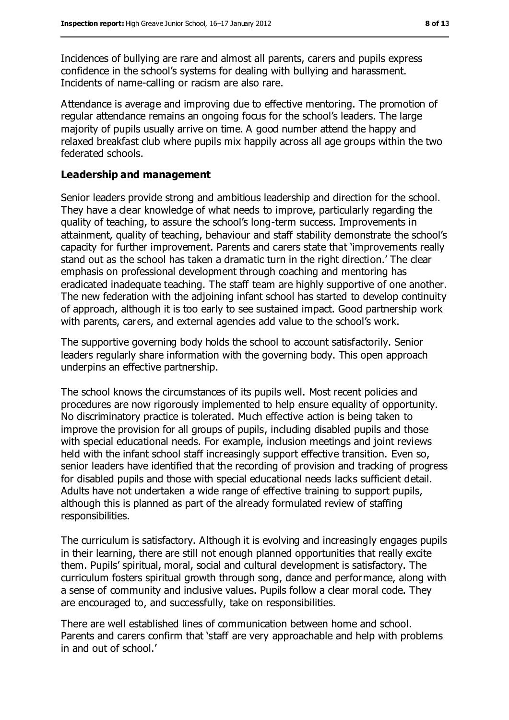Incidences of bullying are rare and almost all parents, carers and pupils express confidence in the school's systems for dealing with bullying and harassment. Incidents of name-calling or racism are also rare.

Attendance is average and improving due to effective mentoring. The promotion of regular attendance remains an ongoing focus for the school's leaders. The large majority of pupils usually arrive on time. A good number attend the happy and relaxed breakfast club where pupils mix happily across all age groups within the two federated schools.

#### **Leadership and management**

Senior leaders provide strong and ambitious leadership and direction for the school. They have a clear knowledge of what needs to improve, particularly regarding the quality of teaching, to assure the school's long-term success. Improvements in attainment, quality of teaching, behaviour and staff stability demonstrate the school's capacity for further improvement. Parents and carers state that 'improvements really stand out as the school has taken a dramatic turn in the right direction.' The clear emphasis on professional development through coaching and mentoring has eradicated inadequate teaching. The staff team are highly supportive of one another. The new federation with the adjoining infant school has started to develop continuity of approach, although it is too early to see sustained impact. Good partnership work with parents, carers, and external agencies add value to the school's work.

The supportive governing body holds the school to account satisfactorily. Senior leaders regularly share information with the governing body. This open approach underpins an effective partnership.

The school knows the circumstances of its pupils well. Most recent policies and procedures are now rigorously implemented to help ensure equality of opportunity. No discriminatory practice is tolerated. Much effective action is being taken to improve the provision for all groups of pupils, including disabled pupils and those with special educational needs. For example, inclusion meetings and joint reviews held with the infant school staff increasingly support effective transition. Even so, senior leaders have identified that the recording of provision and tracking of progress for disabled pupils and those with special educational needs lacks sufficient detail. Adults have not undertaken a wide range of effective training to support pupils, although this is planned as part of the already formulated review of staffing responsibilities.

The curriculum is satisfactory. Although it is evolving and increasingly engages pupils in their learning, there are still not enough planned opportunities that really excite them. Pupils' spiritual, moral, social and cultural development is satisfactory. The curriculum fosters spiritual growth through song, dance and performance, along with a sense of community and inclusive values. Pupils follow a clear moral code. They are encouraged to, and successfully, take on responsibilities.

There are well established lines of communication between home and school. Parents and carers confirm that 'staff are very approachable and help with problems in and out of school.'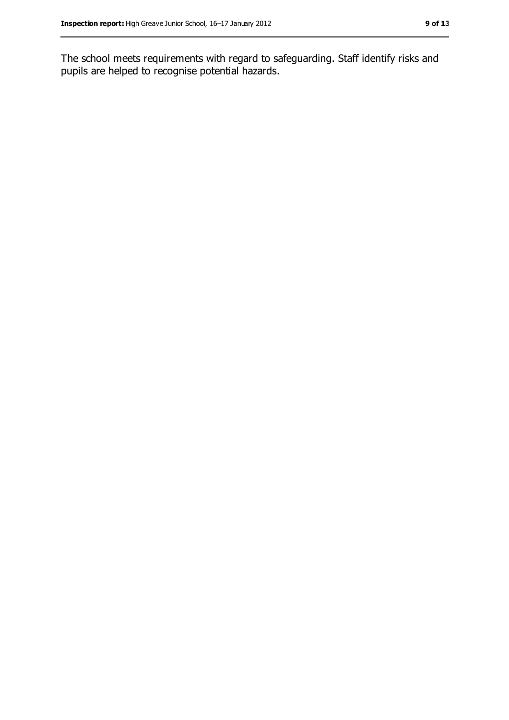The school meets requirements with regard to safeguarding. Staff identify risks and pupils are helped to recognise potential hazards.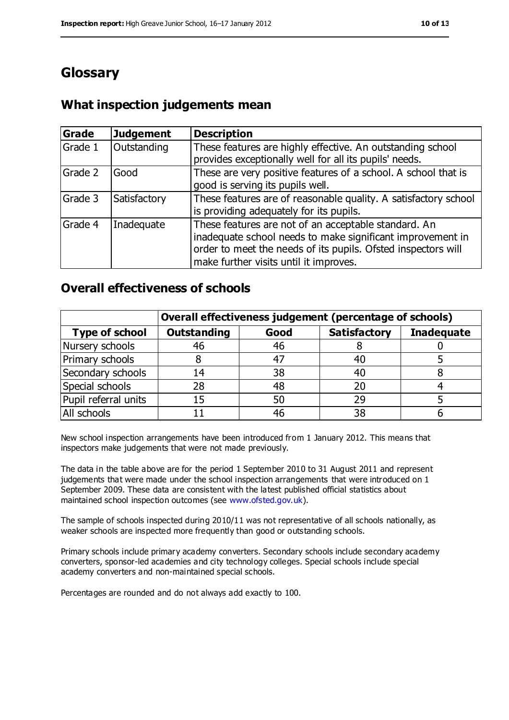### **Glossary**

### **What inspection judgements mean**

| Grade   | <b>Judgement</b> | <b>Description</b>                                                                                                                                                                                                            |
|---------|------------------|-------------------------------------------------------------------------------------------------------------------------------------------------------------------------------------------------------------------------------|
| Grade 1 | Outstanding      | These features are highly effective. An outstanding school<br>provides exceptionally well for all its pupils' needs.                                                                                                          |
| Grade 2 | Good             | These are very positive features of a school. A school that is<br>good is serving its pupils well.                                                                                                                            |
| Grade 3 | Satisfactory     | These features are of reasonable quality. A satisfactory school<br>is providing adequately for its pupils.                                                                                                                    |
| Grade 4 | Inadequate       | These features are not of an acceptable standard. An<br>inadequate school needs to make significant improvement in<br>order to meet the needs of its pupils. Ofsted inspectors will<br>make further visits until it improves. |

### **Overall effectiveness of schools**

|                       | Overall effectiveness judgement (percentage of schools) |      |                     |                   |
|-----------------------|---------------------------------------------------------|------|---------------------|-------------------|
| <b>Type of school</b> | <b>Outstanding</b>                                      | Good | <b>Satisfactory</b> | <b>Inadequate</b> |
| Nursery schools       | 46                                                      | 46   |                     |                   |
| Primary schools       | 8                                                       | 47   | 40                  |                   |
| Secondary schools     | 14                                                      | 38   | 40                  |                   |
| Special schools       | 28                                                      | 48   | 20                  |                   |
| Pupil referral units  | 15                                                      | 50   | 29                  |                   |
| All schools           |                                                         | 46   | 38                  |                   |

New school inspection arrangements have been introduced from 1 January 2012. This means that inspectors make judgements that were not made previously.

The data in the table above are for the period 1 September 2010 to 31 August 2011 and represent judgements that were made under the school inspection arrangements that were introduced on 1 September 2009. These data are consistent with the latest published official statistics about maintained school inspection outcomes (see [www.ofsted.gov.uk\)](www.ofsted.gov.uk).

The sample of schools inspected during 2010/11 was not representative of all schools nationally, as weaker schools are inspected more frequently than good or outstanding schools.

Primary schools include primary academy converters. Secondary schools include secondary academy converters, sponsor-led academies and city technology colleges. Special schools include special academy converters and non-maintained special schools.

Percentages are rounded and do not always add exactly to 100.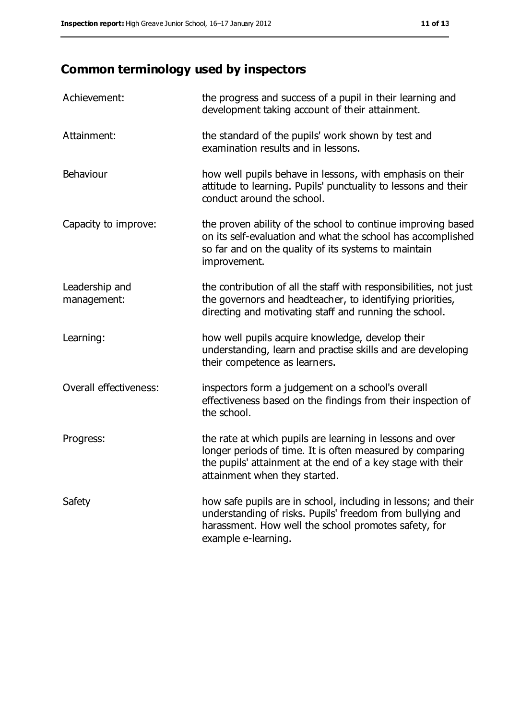## **Common terminology used by inspectors**

| Achievement:                  | the progress and success of a pupil in their learning and<br>development taking account of their attainment.                                                                                                           |
|-------------------------------|------------------------------------------------------------------------------------------------------------------------------------------------------------------------------------------------------------------------|
| Attainment:                   | the standard of the pupils' work shown by test and<br>examination results and in lessons.                                                                                                                              |
| Behaviour                     | how well pupils behave in lessons, with emphasis on their<br>attitude to learning. Pupils' punctuality to lessons and their<br>conduct around the school.                                                              |
| Capacity to improve:          | the proven ability of the school to continue improving based<br>on its self-evaluation and what the school has accomplished<br>so far and on the quality of its systems to maintain<br>improvement.                    |
| Leadership and<br>management: | the contribution of all the staff with responsibilities, not just<br>the governors and headteacher, to identifying priorities,<br>directing and motivating staff and running the school.                               |
| Learning:                     | how well pupils acquire knowledge, develop their<br>understanding, learn and practise skills and are developing<br>their competence as learners.                                                                       |
| Overall effectiveness:        | inspectors form a judgement on a school's overall<br>effectiveness based on the findings from their inspection of<br>the school.                                                                                       |
| Progress:                     | the rate at which pupils are learning in lessons and over<br>longer periods of time. It is often measured by comparing<br>the pupils' attainment at the end of a key stage with their<br>attainment when they started. |
| Safety                        | how safe pupils are in school, including in lessons; and their<br>understanding of risks. Pupils' freedom from bullying and<br>harassment. How well the school promotes safety, for<br>example e-learning.             |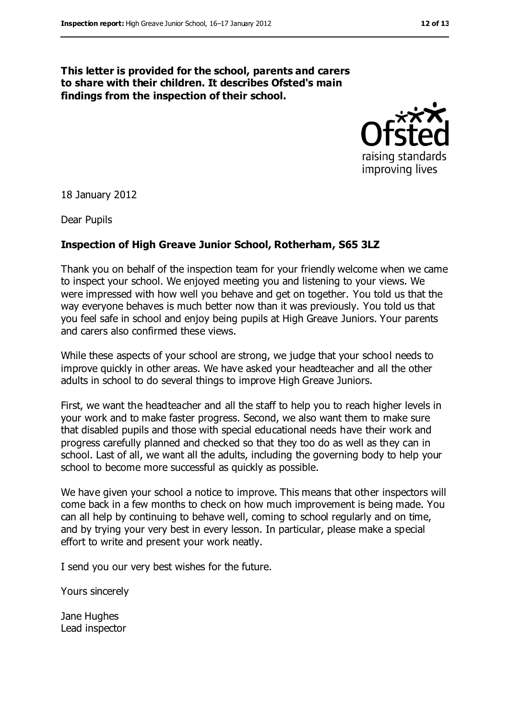#### **This letter is provided for the school, parents and carers to share with their children. It describes Ofsted's main findings from the inspection of their school.**



18 January 2012

Dear Pupils

#### **Inspection of High Greave Junior School, Rotherham, S65 3LZ**

Thank you on behalf of the inspection team for your friendly welcome when we came to inspect your school. We enjoyed meeting you and listening to your views. We were impressed with how well you behave and get on together. You told us that the way everyone behaves is much better now than it was previously. You told us that you feel safe in school and enjoy being pupils at High Greave Juniors. Your parents and carers also confirmed these views.

While these aspects of your school are strong, we judge that your school needs to improve quickly in other areas. We have asked your headteacher and all the other adults in school to do several things to improve High Greave Juniors.

First, we want the headteacher and all the staff to help you to reach higher levels in your work and to make faster progress. Second, we also want them to make sure that disabled pupils and those with special educational needs have their work and progress carefully planned and checked so that they too do as well as they can in school. Last of all, we want all the adults, including the governing body to help your school to become more successful as quickly as possible.

We have given your school a notice to improve. This means that other inspectors will come back in a few months to check on how much improvement is being made. You can all help by continuing to behave well, coming to school regularly and on time, and by trying your very best in every lesson. In particular, please make a special effort to write and present your work neatly.

I send you our very best wishes for the future.

Yours sincerely

Jane Hughes Lead inspector